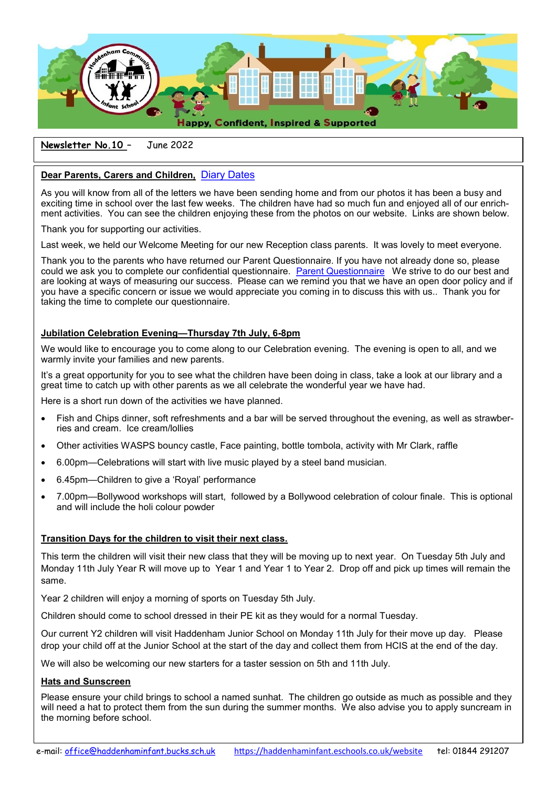

# **Newsletter No.10 –** June 2022

# **Dear Parents, Carers and Children,** [Diary Dates](https://www.haddenhaminfant.bucks.sch.uk/web/diary_dates/612046)

As you will know from all of the letters we have been sending home and from our photos it has been a busy and exciting time in school over the last few weeks. The children have had so much fun and enjoyed all of our enrichment activities. You can see the children enjoying these from the photos on our website. Links are shown below.

Thank you for supporting our activities.

Last week, we held our Welcome Meeting for our new Reception class parents. It was lovely to meet everyone.

Thank you to the parents who have returned our Parent Questionnaire. If you have not already done so, please could we ask you to complete our confidential questionnaire. [Parent Questionnaire](https://forms.gle/Q8pShxBoULX9FmLt8) We strive to do our best and are looking at ways of measuring our success. Please can we remind you that we have an open door policy and if you have a specific concern or issue we would appreciate you coming in to discuss this with us.. Thank you for taking the time to complete our questionnaire.

### **Jubilation Celebration Evening—Thursday 7th July, 6-8pm**

We would like to encourage you to come along to our Celebration evening. The evening is open to all, and we warmly invite your families and new parents.

It's a great opportunity for you to see what the children have been doing in class, take a look at our library and a great time to catch up with other parents as we all celebrate the wonderful year we have had.

Here is a short run down of the activities we have planned.

- Fish and Chips dinner, soft refreshments and a bar will be served throughout the evening, as well as strawberries and cream. Ice cream/lollies
- Other activities WASPS bouncy castle, Face painting, bottle tombola, activity with Mr Clark, raffle
- 6.00pm—Celebrations will start with live music played by a steel band musician.
- 6.45pm—Children to give a 'Royal' performance
- 7.00pm—Bollywood workshops will start, followed by a Bollywood celebration of colour finale. This is optional and will include the holi colour powder

#### **Transition Days for the children to visit their next class.**

This term the children will visit their new class that they will be moving up to next year. On Tuesday 5th July and Monday 11th July Year R will move up to Year 1 and Year 1 to Year 2. Drop off and pick up times will remain the same.

Year 2 children will enjoy a morning of sports on Tuesday 5th July.

Children should come to school dressed in their PE kit as they would for a normal Tuesday.

Our current Y2 children will visit Haddenham Junior School on Monday 11th July for their move up day. Please drop your child off at the Junior School at the start of the day and collect them from HCIS at the end of the day.

We will also be welcoming our new starters for a taster session on 5th and 11th July.

#### **Hats and Sunscreen**

Please ensure your child brings to school a named sunhat. The children go outside as much as possible and they will need a hat to protect them from the sun during the summer months. We also advise you to apply suncream in the morning before school.